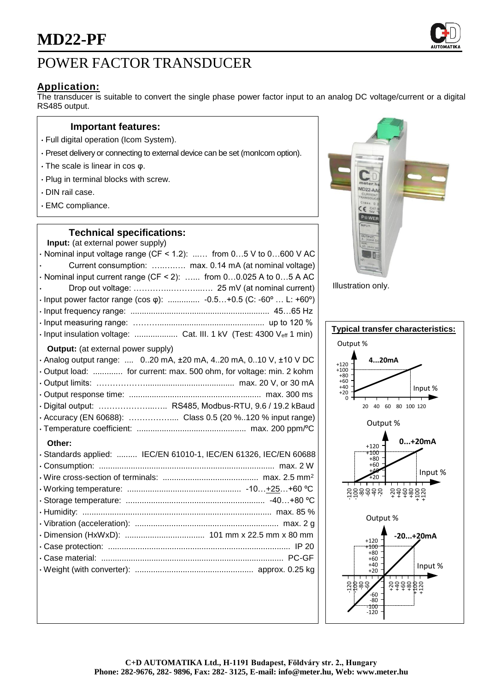# POWER FACTOR TRANSDUCER

## **Application:**

The transducer is suitable to convert the single phase power factor input to an analog DC voltage/current or a digital RS485 output.

#### **Important features:**

- Full digital operation (Icom System).
- Preset delivery or connecting to external device can be set (monIcom option).
- The scale is linear in cos φ.
- Plug in terminal blocks with screw.
- DIN rail case.
- EMC compliance.

### **Technical specifications:**

| Input: (at external power supply)                                               |
|---------------------------------------------------------------------------------|
| $\cdot$ Nominal input voltage range (CF < 1.2):  from 05 V to 0600 V AC         |
| Current consumption:  max. 0.14 mA (at nominal voltage)                         |
| · Nominal input current range (CF < 2):  from 00.025 A to 05 A AC               |
|                                                                                 |
| • Input power factor range (cos $\varphi$ ):  -0.5+0.5 (C: -60°  L: +60°)       |
|                                                                                 |
|                                                                                 |
| · Input insulation voltage:  Cat. III. 1 kV (Test: 4300 Veff 1 min)             |
| <b>Output:</b> (at external power supply)                                       |
| $\cdot$ Analog output range:  020 mA, $\pm$ 20 mA, 420 mA, 010 V, $\pm$ 10 V DC |
| · Output load:  for current: max. 500 ohm, for voltage: min. 2 kohm             |
|                                                                                 |
|                                                                                 |
| · Digital output:  RS485, Modbus-RTU, 9.6 / 19.2 kBaud                          |
| · Accuracy (EN 60688):  Class 0.5 (20 %120 % input range)                       |
|                                                                                 |
| Other:                                                                          |
| · Standards applied:  IEC/EN 61010-1, IEC/EN 61326, IEC/EN 60688                |
|                                                                                 |
|                                                                                 |
|                                                                                 |
|                                                                                 |
|                                                                                 |
|                                                                                 |
|                                                                                 |
|                                                                                 |
|                                                                                 |
|                                                                                 |
|                                                                                 |
|                                                                                 |



Illustration only.